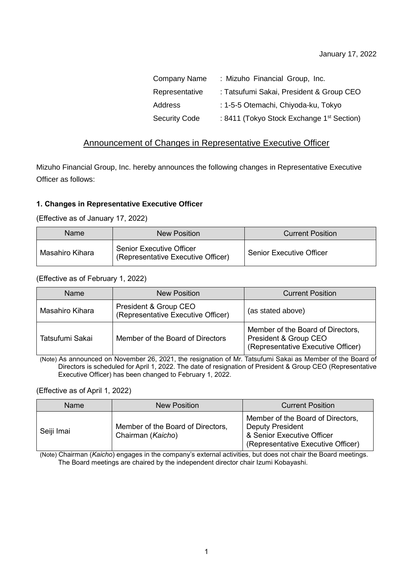| <b>Company Name</b>  | : Mizuho Financial Group, Inc.                        |
|----------------------|-------------------------------------------------------|
| Representative       | : Tatsufumi Sakai, President & Group CEO              |
| Address              | : 1-5-5 Otemachi, Chiyoda-ku, Tokyo                   |
| <b>Security Code</b> | : 8411 (Tokyo Stock Exchange 1 <sup>st</sup> Section) |

# Announcement of Changes in Representative Executive Officer

Mizuho Financial Group, Inc. hereby announces the following changes in Representative Executive Officer as follows:

### **1. Changes in Representative Executive Officer**

(Effective as of January 17, 2022)

| Name            | New Position                                                          | <b>Current Position</b>         |
|-----------------|-----------------------------------------------------------------------|---------------------------------|
| Masahiro Kihara | <b>Senior Executive Officer</b><br>(Representative Executive Officer) | <b>Senior Executive Officer</b> |

#### (Effective as of February 1, 2022)

| Name            | <b>New Position</b>                                         | <b>Current Position</b>                                                                          |  |
|-----------------|-------------------------------------------------------------|--------------------------------------------------------------------------------------------------|--|
| Masahiro Kihara | President & Group CEO<br>(Representative Executive Officer) | (as stated above)                                                                                |  |
| Tatsufumi Sakai | Member of the Board of Directors                            | Member of the Board of Directors,<br>President & Group CEO<br>(Representative Executive Officer) |  |

(Note) As announced on November 26, 2021, the resignation of Mr. Tatsufumi Sakai as Member of the Board of Directors is scheduled for April 1, 2022. The date of resignation of President & Group CEO (Representative Executive Officer) has been changed to February 1, 2022.

(Effective as of April 1, 2022)

| Name       | New Position                                           | <b>Current Position</b>                                                                                                          |
|------------|--------------------------------------------------------|----------------------------------------------------------------------------------------------------------------------------------|
| Seiji Imai | Member of the Board of Directors,<br>Chairman (Kaicho) | Member of the Board of Directors,<br><b>Deputy President</b><br>& Senior Executive Officer<br>(Representative Executive Officer) |

(Note) Chairman (*Kaicho*) engages in the company's external activities, but does not chair the Board meetings. The Board meetings are chaired by the independent director chair Izumi Kobayashi.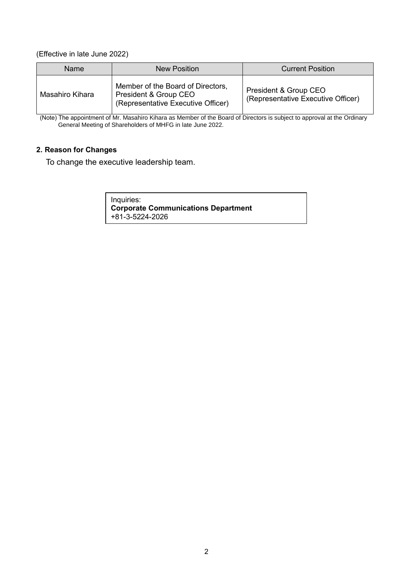(Effective in late June 2022)

| Name            | <b>New Position</b>                                                                              | <b>Current Position</b>                                     |
|-----------------|--------------------------------------------------------------------------------------------------|-------------------------------------------------------------|
| Masahiro Kihara | Member of the Board of Directors,<br>President & Group CEO<br>(Representative Executive Officer) | President & Group CEO<br>(Representative Executive Officer) |

(Note) The appointment of Mr. Masahiro Kihara as Member of the Board of Directors is subject to approval at the Ordinary General Meeting of Shareholders of MHFG in late June 2022.

### **2. Reason for Changes**

To change the executive leadership team.

Inquiries: **Corporate Communications Department** +81-3-5224-2026